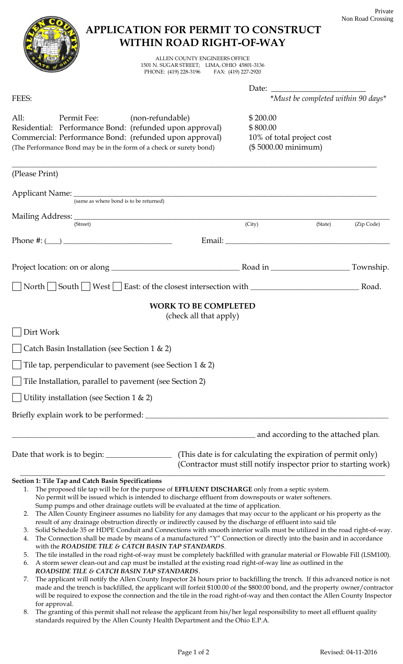## **APPLICATION FOR PERMIT TO CONSTRUCT WITHIN ROAD RIGHT-OF-WAY** ALLEN COUNTY ENGINEERS OFFICE 1501 N. SUGAR STREET; LIMA, OHIO 45801-3136 PHONE: (419) 228-3196 Date: FEES: \**Must be completed within 90 days\** All: Permit Fee: (non-refundable) \$200.00 Residential: Performance Bond: (refunded upon approval) \$800.00 Commercial: Performance Bond: (refunded upon approval) 10% of total project cost (The Performance Bond may be in the form of a check or surety bond) (\$ 5000.00 minimum) \_\_\_\_\_\_\_\_\_\_\_\_\_\_\_\_\_\_\_\_\_\_\_\_\_\_\_\_\_\_\_\_\_\_\_\_\_\_\_\_\_\_\_\_\_\_\_\_\_\_\_\_\_\_\_\_\_\_\_\_\_\_\_\_\_\_\_\_\_\_\_\_\_\_\_\_\_\_\_\_\_\_\_\_\_\_\_\_\_\_\_\_\_\_\_\_\_\_\_\_\_\_\_\_\_\_\_\_\_\_\_ (Please Print) Applicant Name: (same as where bond is to be returned) Mailing Address: (Street) (City) (State) (Zip Code) Phone #: (\_\_\_\_) \_\_\_\_\_\_\_\_\_\_\_\_\_\_\_\_\_\_\_\_\_\_\_\_\_\_\_\_\_\_\_\_\_ Email: \_\_\_\_\_\_\_\_\_\_\_\_\_\_\_\_\_\_\_\_\_\_\_\_\_\_\_\_\_\_\_\_\_\_\_\_\_\_\_\_\_\_\_\_\_\_\_\_\_\_ Project location: on or along \_\_\_\_\_\_\_\_\_\_\_\_\_\_\_\_\_\_\_\_\_\_\_\_\_\_\_\_\_\_\_\_\_\_\_\_\_\_\_ Road in \_\_\_\_\_\_\_\_\_\_\_\_\_\_\_\_\_\_\_\_\_\_\_\_ Township. North South West East: of the closest intersection with \_\_\_\_\_\_\_\_\_\_\_\_\_\_\_\_\_\_\_\_\_\_\_\_\_\_\_\_\_\_\_\_\_ Road. **WORK TO BE COMPLETED** (check all that apply) Dirt Work Catch Basin Installation (see Section 1 & 2) Tile tap, perpendicular to pavement (see Section 1 & 2) Tile Installation, parallel to pavement (see Section 2) Utility installation (see Section 1 & 2) Briefly explain work to be performed: \_\_\_\_\_\_\_\_\_\_\_\_\_\_\_\_\_\_\_\_\_\_\_\_\_\_\_\_\_\_\_\_\_\_\_\_\_\_\_\_\_\_\_\_\_\_\_\_\_\_\_\_\_\_\_\_\_\_\_\_\_\_\_\_\_\_\_\_\_\_\_\_\_\_ and according to the attached plan. Date that work is to begin: \_\_\_\_\_\_\_\_\_\_\_\_\_\_\_\_\_\_\_\_\_\_ (This date is for calculating the expiration of permit only) (Contractor must still notify inspector prior to starting work)  $\mathcal{L}_\text{max}$  , and the set of the set of the set of the set of the set of the set of the set of the set of the set of the set of the set of the set of the set of the set of the set of the set of the set of the set of the **Section 1: Tile Tap and Catch Basin Specifications** 1. The proposed tile tap will be for the purpose of **EFFLUENT DISCHARGE** only from a septic system. No permit will be issued which is intended to discharge effluent from downspouts or water softeners. Sump pumps and other drainage outlets will be evaluated at the time of application. 2. The Allen County Engineer assumes no liability for any damages that may occur to the applicant or his property as the result of any drainage obstruction directly or indirectly caused by the discharge of effluent into said tile 3. Solid Schedule 35 or HDPE Conduit and Connections with smooth interior walls must be utilized in the road right-of-way. 4. The Connection shall be made by means of a manufactured "Y" Connection or directly into the basin and in accordance with the *ROADSIDE TILE & CATCH BASIN TAP STANDARDS*. 5. The tile installed in the road right-of-way must be completely backfilled with granular material or Flowable Fill (LSM100). 6. A storm sewer clean-out and cap must be installed at the existing road right-of-way line as outlined in the *ROADSIDE TILE & CATCH BASIN TAP STANDARDS*. 7. The applicant will notify the Allen County Inspector 24 hours prior to backfilling the trench. If this advanced notice is not

made and the trench is backfilled, the applicant will forfeit \$100.00 of the \$800.00 bond, and the property owner/contractor will be required to expose the connection and the tile in the road right-of-way and then contact the Allen County Inspector for approval.

8. The granting of this permit shall not release the applicant from his/her legal responsibility to meet all effluent quality standards required by the Allen County Health Department and the Ohio E.P.A.